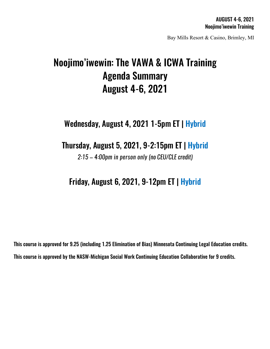Bay Mills Resort & Casino, Brimley, MI

# Noojimo'iwewin: The VAWA & ICWA Training Agenda Summary August 4-6, 2021

## Wednesday, August 4, 2021 1-5pm ET | Hybrid

### Thursday, August 5, 2021, 9-2:15pm ET | Hybrid

*2:15 – 4:00pm in person only (no CEU/CLE credit)*

## Friday, August 6, 2021, 9-12pm ET | Hybrid

This course is approved for 9.25 (including 1.25 Elimination of Bias) Minnesota Continuing Legal Education credits. This course is approved by the NASW-Michigan Social Work Continuing Education Collaborative for 9 credits.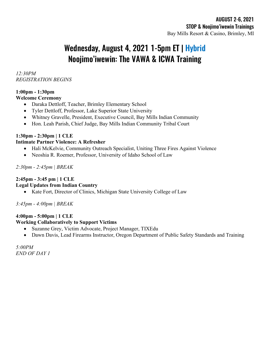## Wednesday, August 4, 2021 1-5pm ET | Hybrid Noojimo'iwewin: The VAWA & ICWA Training

*12:30PM REGISTRATION BEGINS*

#### **1:00pm - 1:30pm Welcome Ceremony**

- Daraka Dettloff, Teacher, Brimley Elementary School
- Tyler Dettloff, Professor, Lake Superior State University
- Whitney Gravelle, President, Executive Council, Bay Mills Indian Community
- Hon. Leah Parish, Chief Judge, Bay Mills Indian Community Tribal Court

#### **1:30pm - 2:30pm | 1 CLE Intimate Partner Violence: A Refresher**

- Hali McKelvie, Community Outreach Specialist, Uniting Three Fires Against Violence
- Neoshia R. Roemer, Professor, University of Idaho School of Law

*2:30pm - 2:45pm | BREAK* 

#### **2:45pm - 3:45 pm | 1 CLE**

#### **Legal Updates from Indian Country**

• Kate Fort, Director of Clinics, Michigan State University College of Law

*3:45pm - 4:00pm | BREAK*

#### **4:00pm - 5:00pm | 1 CLE Working Collaboratively to Support Victims**

- Suzanne Grey, Victim Advocate, Project Manager, TIXEdu
- Dawn Davis, Lead Firearms Instructor, Oregon Department of Public Safety Standards and Training

*5:00PM END OF DAY 1*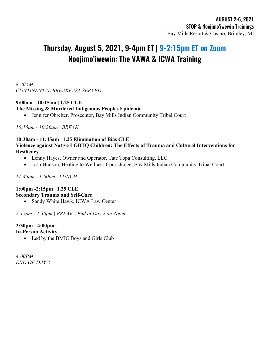## Thursday, August 5, 2021, 9-4pm ET | 9-2:15pm ET on Zoom Noojimo'iwewin: The VAWA & ICWA Training

#### *8:30AM CONTINENTAL BREAKFAST SERVED*

#### **9:00am - 10:15am | 1.25 CLE**

#### **The Missing & Murdered Indigenous Peoples Epidemic**

• Jennifer Obreiter, Prosecutor, Bay Mills Indian Community Tribal Court

*10:15am - 10:30am | BREAK*

#### **10:30am - 11:45am | 1.25 Elimination of Bias CLE Violence against Native LGBTQ Children: The Effects of Trauma and Cultural Interventions for Resiliency**

- Lenny Hayes, Owner and Operator, Tate Topa Consulting, LLC
- Josh Hudson, Healing to Wellness Court Judge, Bay Mills Indian Community Tribal Court

*11:45am - 1:00pm | LUNCH*

#### **1:00pm -2:15pm | 1.25 CLE Secondary Trauma and Self-Care**

• Sandy White Hawk, ICWA Law Center

*2:15pm - 2:30pm | BREAK | End of Day 2 on Zoom* 

### **2:30pm - 4:00pm**

**In-Person Activity**

• Led by the BMIC Boys and Girls Club

*4:00PM END OF DAY 2*